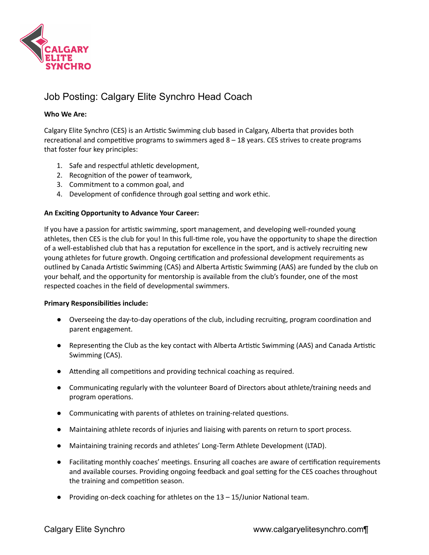

# Job Posting: Calgary Elite Synchro Head Coach

## **Who We Are:**

Calgary Elite Synchro (CES) is an Artistic Swimming club based in Calgary, Alberta that provides both recreational and competitive programs to swimmers aged  $8 - 18$  years. CES strives to create programs that foster four key principles:

- 1. Safe and respectful athletic development,
- 2. Recognition of the power of teamwork,
- 3. Commitment to a common goal, and
- 4. Development of confidence through goal setting and work ethic.

### **An Excing Opportunity to Advance Your Career:**

If you have a passion for artistic swimming, sport management, and developing well-rounded young athletes, then CES is the club for you! In this full-time role, you have the opportunity to shape the direction of a well-established club that has a reputation for excellence in the sport, and is actively recruiting new young athletes for future growth. Ongoing certification and professional development requirements as outlined by Canada Artistic Swimming (CAS) and Alberta Artistic Swimming (AAS) are funded by the club on your behalf, and the opportunity for mentorship is available from the club's founder, one of the most respected coaches in the field of developmental swimmers.

### **Primary Responsibilies include:**

- Overseeing the day-to-day operations of the club, including recruiting, program coordination and parent engagement.
- Representing the Club as the key contact with Alberta Artistic Swimming (AAS) and Canada Artistic Swimming (CAS).
- $\bullet$  Attending all competitions and providing technical coaching as required.
- Communicating regularly with the volunteer Board of Directors about athlete/training needs and program operations.
- Communicating with parents of athletes on training-related questions.
- Maintaining athlete records of injuries and liaising with parents on return to sport process.
- Maintaining training records and athletes' Long-Term Athlete Development (LTAD).
- Facilitating monthly coaches' meetings. Ensuring all coaches are aware of certification requirements and available courses. Providing ongoing feedback and goal setting for the CES coaches throughout the training and competition season.
- Providing on-deck coaching for athletes on the  $13 15$ /Junior National team.